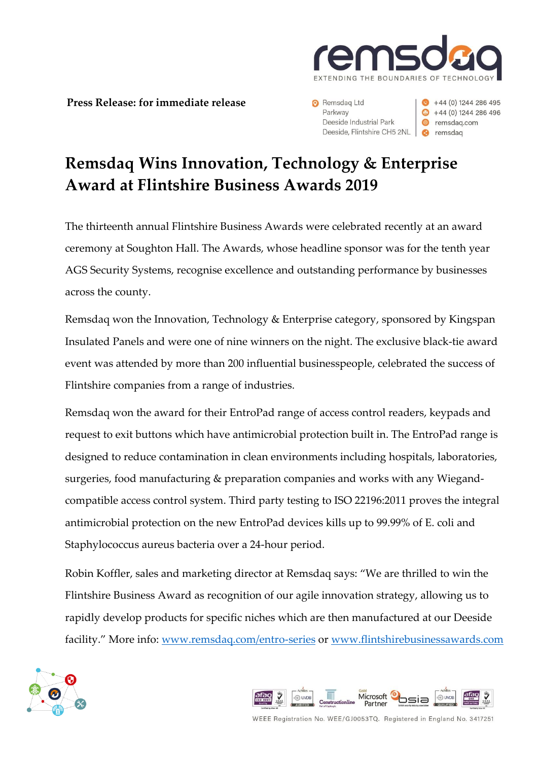

**Press Release: for immediate release**

Remsdag Ltd Parkway Deeside Industrial Park Deeside, Flintshire CH5 2NL **@** remsdag

 $+44(0)$  1244 286 495  $\bigcirc$  +44 (0) 1244 286 496 <sup>●</sup> remsdaq.com

## **Remsdaq Wins Innovation, Technology & Enterprise Award at Flintshire Business Awards 2019**

The thirteenth annual Flintshire Business Awards were celebrated recently at an award ceremony at Soughton Hall. The Awards, whose headline sponsor was for the tenth year AGS Security Systems, recognise excellence and outstanding performance by businesses across the county.

Remsdaq won the Innovation, Technology & Enterprise category, sponsored by Kingspan Insulated Panels and were one of nine winners on the night. The exclusive black-tie award event was attended by more than 200 influential businesspeople, celebrated the success of Flintshire companies from a range of industries.

Remsdaq won the award for their EntroPad range of access control readers, keypads and request to exit buttons which have antimicrobial protection built in. The EntroPad range is designed to reduce contamination in clean environments including hospitals, laboratories, surgeries, food manufacturing & preparation companies and works with any Wiegandcompatible access control system. Third party testing to ISO 22196:2011 proves the integral antimicrobial protection on the new EntroPad devices kills up to 99.99% of E. coli and Staphylococcus aureus bacteria over a 24-hour period.

Robin Koffler, sales and marketing director at Remsdaq says: "We are thrilled to win the Flintshire Business Award as recognition of our agile innovation strategy, allowing us to rapidly develop products for specific niches which are then manufactured at our Deeside facility." More info: [www.remsdaq.com/entro-series](http://www.remsdaq.com/entro-series) or www.flintshirebusinessawards.com





WEEE Registration No. WEE/GJ0053TQ. Registered in England No. 3417251